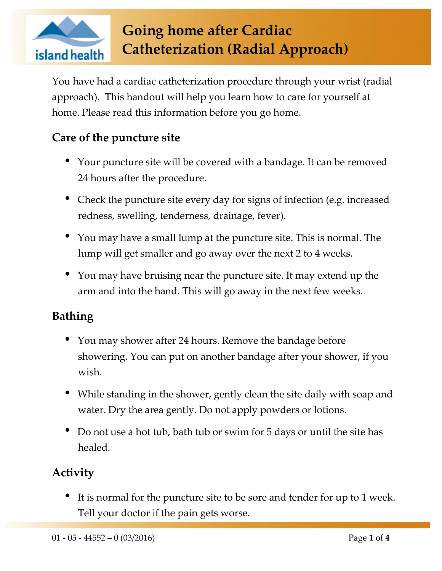

You have had a cardiac catheterization procedure through your wrist (radial approach). This handout will help you learn how to care for yourself at home. Please read this information before you go home.

# **Care of the puncture site**

- Your puncture site will be covered with a bandage. It can be removed 24 hours after the procedure.
- Check the puncture site every day for signs of infection (e.g. increased redness, swelling, tenderness, drainage, fever).
- You may have a small lump at the puncture site. This is normal. The lump will get smaller and go away over the next 2 to 4 weeks.
- You may have bruising near the puncture site. It may extend up the arm and into the hand. This will go away in the next few weeks.

### **Bathing**

- You may shower after 24 hours. Remove the bandage before showering. You can put on another bandage after your shower, if you wish.
- While standing in the shower, gently clean the site daily with soap and water. Dry the area gently. Do not apply powders or lotions.
- Do not use a hot tub, bath tub or swim for 5 days or until the site has healed.

# **Activity**

 It is normal for the puncture site to be sore and tender for up to 1 week. Tell your doctor if the pain gets worse.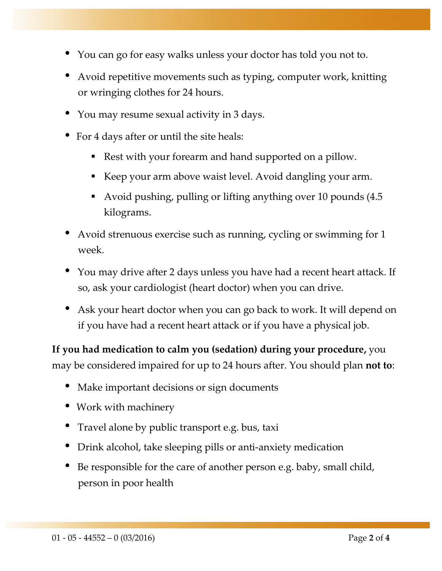- You can go for easy walks unless your doctor has told you not to.
- Avoid repetitive movements such as typing, computer work, knitting or wringing clothes for 24 hours.
- You may resume sexual activity in 3 days.
- For 4 days after or until the site heals:
	- Rest with your forearm and hand supported on a pillow.
	- Keep your arm above waist level. Avoid dangling your arm.
	- Avoid pushing, pulling or lifting anything over 10 pounds (4.5 kilograms.
- Avoid strenuous exercise such as running, cycling or swimming for 1 week.
- You may drive after 2 days unless you have had a recent heart attack. If so, ask your cardiologist (heart doctor) when you can drive.
- Ask your heart doctor when you can go back to work. It will depend on if you have had a recent heart attack or if you have a physical job.

**If you had medication to calm you (sedation) during your procedure,** you may be considered impaired for up to 24 hours after. You should plan **not to**:

- Make important decisions or sign documents
- Work with machinery
- Travel alone by public transport e.g. bus, taxi
- Drink alcohol, take sleeping pills or anti-anxiety medication
- Be responsible for the care of another person e.g. baby, small child, person in poor health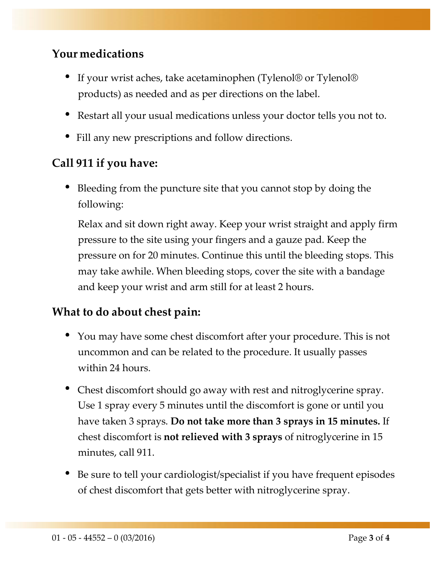#### **Your medications**

- If your wrist aches, take acetaminophen (Tylenol® or Tylenol® products) as needed and as per directions on the label.
- Restart all your usual medications unless your doctor tells you not to.
- Fill any new prescriptions and follow directions.

### **Call 911 if you have:**

 Bleeding from the puncture site that you cannot stop by doing the following:

Relax and sit down right away. Keep your wrist straight and apply firm pressure to the site using your fingers and a gauze pad. Keep the pressure on for 20 minutes. Continue this until the bleeding stops. This may take awhile. When bleeding stops, cover the site with a bandage and keep your wrist and arm still for at least 2 hours.

### **What to do about chest pain:**

- You may have some chest discomfort after your procedure. This is not uncommon and can be related to the procedure. It usually passes within 24 hours.
- Chest discomfort should go away with rest and nitroglycerine spray. Use 1 spray every 5 minutes until the discomfort is gone or until you have taken 3 sprays. **Do not take more than 3 sprays in 15 minutes.** If chest discomfort is **not relieved with 3 sprays** of nitroglycerine in 15 minutes, call 911.
- Be sure to tell your cardiologist/specialist if you have frequent episodes of chest discomfort that gets better with nitroglycerine spray.